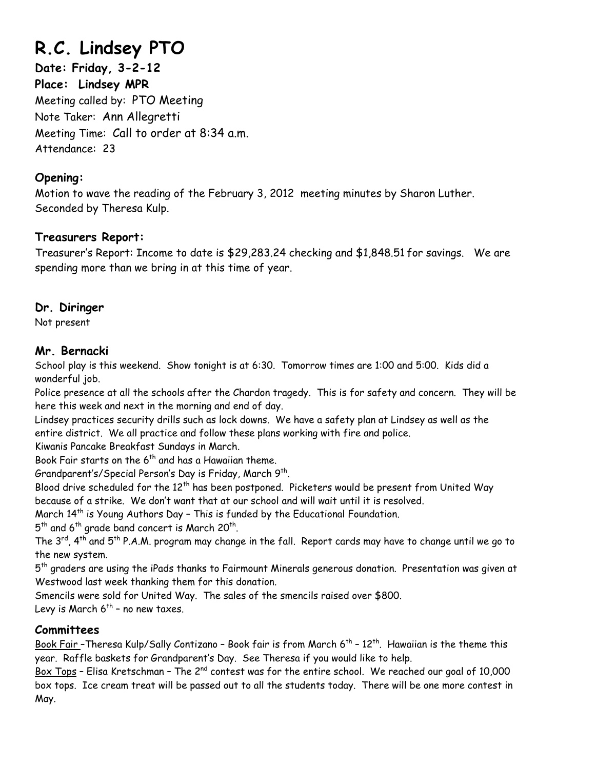# **R.C. Lindsey PTO**

**Date: Friday, 3-2-12 Place: Lindsey MPR**  Meeting called by: PTO Meeting Note Taker: Ann Allegretti Meeting Time: Call to order at 8:34 a.m. Attendance: 23

# **Opening:**

Motion to wave the reading of the February 3, 2012 meeting minutes by Sharon Luther. Seconded by Theresa Kulp.

# **Treasurers Report:**

Treasurer's Report: Income to date is \$29,283.24 checking and \$1,848.51 for savings. We are spending more than we bring in at this time of year.

# **Dr. Diringer**

Not present

# **Mr. Bernacki**

School play is this weekend. Show tonight is at 6:30. Tomorrow times are 1:00 and 5:00. Kids did a wonderful job.

Police presence at all the schools after the Chardon tragedy. This is for safety and concern. They will be here this week and next in the morning and end of day.

Lindsey practices security drills such as lock downs. We have a safety plan at Lindsey as well as the entire district. We all practice and follow these plans working with fire and police.

Kiwanis Pancake Breakfast Sundays in March.

Book Fair starts on the  $6<sup>th</sup>$  and has a Hawaiian theme.

Grandparent's/Special Person's Day is Friday, March 9<sup>th</sup>.

Blood drive scheduled for the 12<sup>th</sup> has been postponed. Picketers would be present from United Way because of a strike. We don't want that at our school and will wait until it is resolved.

March 14<sup>th</sup> is Young Authors Day - This is funded by the Educational Foundation.

 $5<sup>th</sup>$  and 6<sup>th</sup> grade band concert is March 20<sup>th</sup>.

The  $3^{rd}$ ,  $4^{th}$  and  $5^{th}$  P.A.M. program may change in the fall. Report cards may have to change until we go to the new system.

 $5<sup>th</sup>$  graders are using the iPads thanks to Fairmount Minerals generous donation. Presentation was given at Westwood last week thanking them for this donation.

Smencils were sold for United Way. The sales of the smencils raised over \$800.

Levy is March  $6^{th}$  - no new taxes.

# **Committees**

Book Fair - Theresa Kulp/Sally Contizano - Book fair is from March 6<sup>th</sup> - 12<sup>th</sup>. Hawaiian is the theme this year. Raffle baskets for Grandparent's Day. See Theresa if you would like to help.

Box Tops – Elisa Kretschman – The  $2^{nd}$  contest was for the entire school. We reached our goal of 10,000 box tops. Ice cream treat will be passed out to all the students today. There will be one more contest in May.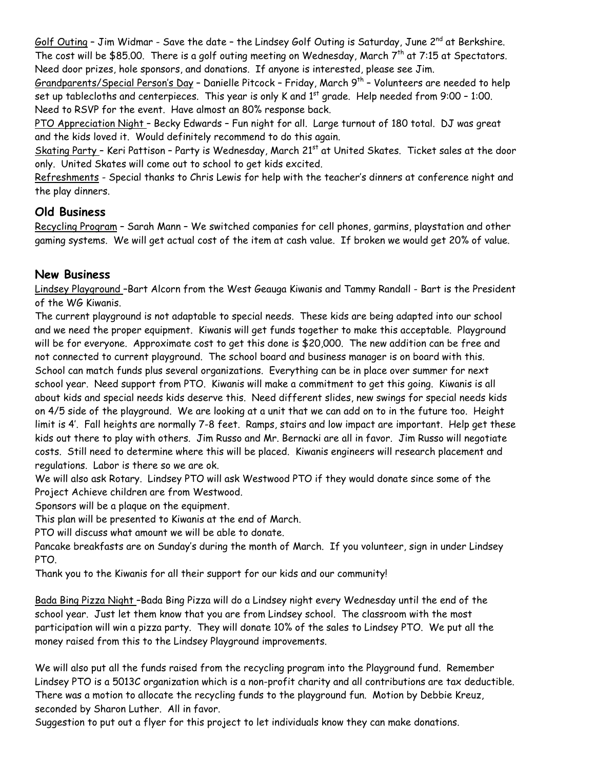Golf Outing - Jim Widmar - Save the date - the Lindsey Golf Outing is Saturday, June 2<sup>nd</sup> at Berkshire. The cost will be \$85.00. There is a golf outing meeting on Wednesday, March  $7<sup>th</sup>$  at  $7:15$  at Spectators. Need door prizes, hole sponsors, and donations. If anyone is interested, please see Jim.

Grandparents/Special Person's Day - Danielle Pitcock - Friday, March  $9^{th}$  - Volunteers are needed to help set up tablecloths and centerpieces. This year is only K and 1<sup>st</sup> grade. Help needed from 9:00 - 1:00. Need to RSVP for the event. Have almost an 80% response back.

PTO Appreciation Night - Becky Edwards - Fun night for all. Large turnout of 180 total. DJ was great and the kids loved it. Would definitely recommend to do this again.

Skating Party - Keri Pattison - Party is Wednesday, March 21<sup>st</sup> at United Skates. Ticket sales at the door only. United Skates will come out to school to get kids excited.

Refreshments - Special thanks to Chris Lewis for help with the teacher's dinners at conference night and the play dinners.

#### **Old Business**

Recycling Program – Sarah Mann – We switched companies for cell phones, garmins, playstation and other gaming systems. We will get actual cost of the item at cash value. If broken we would get 20% of value.

#### **New Business**

Lindsey Playground –Bart Alcorn from the West Geauga Kiwanis and Tammy Randall - Bart is the President of the WG Kiwanis.

The current playground is not adaptable to special needs. These kids are being adapted into our school and we need the proper equipment. Kiwanis will get funds together to make this acceptable. Playground will be for everyone. Approximate cost to get this done is \$20,000. The new addition can be free and not connected to current playground. The school board and business manager is on board with this. School can match funds plus several organizations. Everything can be in place over summer for next school year. Need support from PTO. Kiwanis will make a commitment to get this going. Kiwanis is all about kids and special needs kids deserve this. Need different slides, new swings for special needs kids on 4/5 side of the playground. We are looking at a unit that we can add on to in the future too. Height limit is 4'. Fall heights are normally 7-8 feet. Ramps, stairs and low impact are important. Help get these kids out there to play with others. Jim Russo and Mr. Bernacki are all in favor. Jim Russo will negotiate costs. Still need to determine where this will be placed. Kiwanis engineers will research placement and regulations. Labor is there so we are ok.

We will also ask Rotary. Lindsey PTO will ask Westwood PTO if they would donate since some of the Project Achieve children are from Westwood.

Sponsors will be a plaque on the equipment.

This plan will be presented to Kiwanis at the end of March.

PTO will discuss what amount we will be able to donate.

Pancake breakfasts are on Sunday's during the month of March. If you volunteer, sign in under Lindsey PTO.

Thank you to the Kiwanis for all their support for our kids and our community!

Bada Bing Pizza Night –Bada Bing Pizza will do a Lindsey night every Wednesday until the end of the school year. Just let them know that you are from Lindsey school. The classroom with the most participation will win a pizza party. They will donate 10% of the sales to Lindsey PTO. We put all the money raised from this to the Lindsey Playground improvements.

We will also put all the funds raised from the recycling program into the Playground fund. Remember Lindsey PTO is a 5013C organization which is a non-profit charity and all contributions are tax deductible. There was a motion to allocate the recycling funds to the playground fun. Motion by Debbie Kreuz, seconded by Sharon Luther. All in favor.

Suggestion to put out a flyer for this project to let individuals know they can make donations.